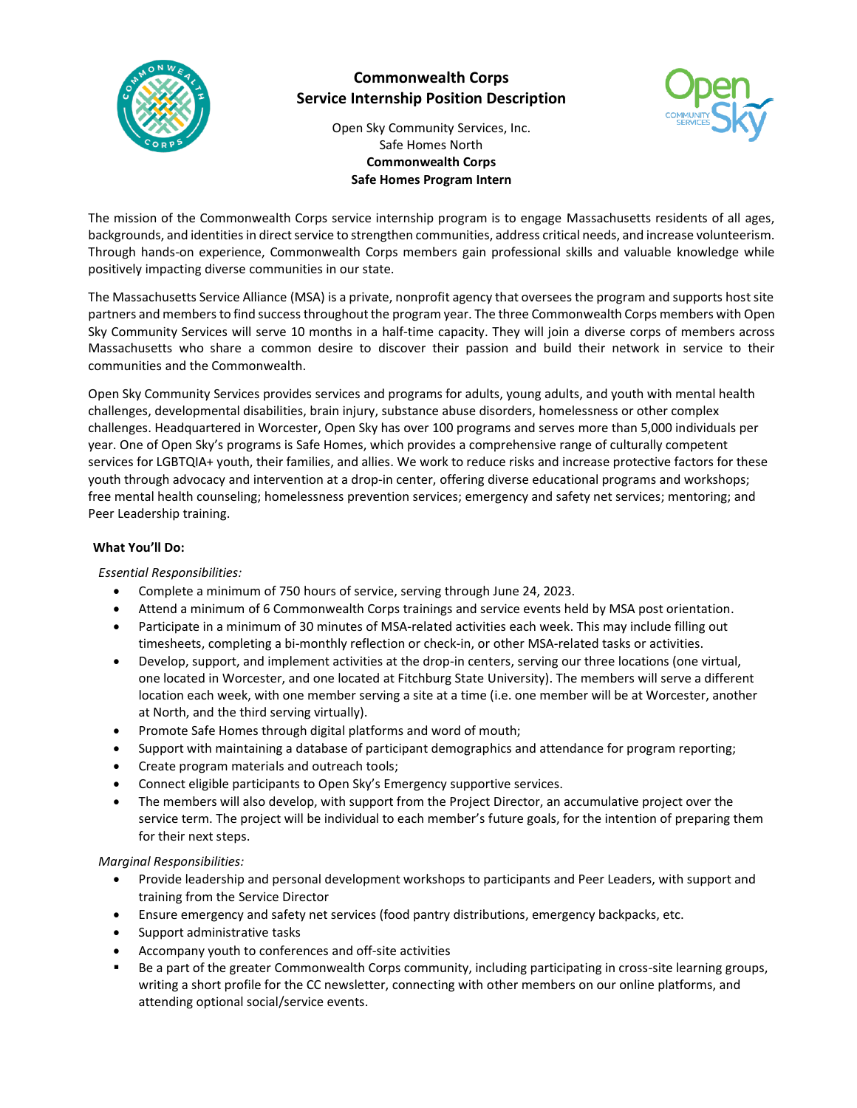

# **Commonwealth Corps Service Internship Position Description**



Open Sky Community Services, Inc. Safe Homes North **Commonwealth Corps Safe Homes Program Intern**

The mission of the Commonwealth Corps service internship program is to engage Massachusetts residents of all ages, backgrounds, and identitiesin direct service to strengthen communities, address critical needs, and increase volunteerism. Through hands-on experience, Commonwealth Corps members gain professional skills and valuable knowledge while positively impacting diverse communities in our state.

The Massachusetts Service Alliance (MSA) is a private, nonprofit agency that oversees the program and supports host site partners and members to find success throughout the program year. The three Commonwealth Corps members with Open Sky Community Services will serve 10 months in a half-time capacity. They will join a diverse corps of members across Massachusetts who share a common desire to discover their passion and build their network in service to their communities and the Commonwealth.

Open Sky Community Services provides services and programs for adults, young adults, and youth with mental health challenges, developmental disabilities, brain injury, substance abuse disorders, homelessness or other complex challenges. Headquartered in Worcester, Open Sky has over 100 programs and serves more than 5,000 individuals per year. One of Open Sky's programs is Safe Homes, which provides a comprehensive range of culturally competent services for LGBTQIA+ youth, their families, and allies. We work to reduce risks and increase protective factors for these youth through advocacy and intervention at a drop-in center, offering diverse educational programs and workshops; free mental health counseling; homelessness prevention services; emergency and safety net services; mentoring; and Peer Leadership training.

## **What You'll Do:**

*Essential Responsibilities:*

- Complete a minimum of 750 hours of service, serving through June 24, 2023.
- Attend a minimum of 6 Commonwealth Corps trainings and service events held by MSA post orientation.
- Participate in a minimum of 30 minutes of MSA-related activities each week. This may include filling out timesheets, completing a bi-monthly reflection or check-in, or other MSA-related tasks or activities.
- Develop, support, and implement activities at the drop-in centers, serving our three locations (one virtual, one located in Worcester, and one located at Fitchburg State University). The members will serve a different location each week, with one member serving a site at a time (i.e. one member will be at Worcester, another at North, and the third serving virtually).
- Promote Safe Homes through digital platforms and word of mouth;
- Support with maintaining a database of participant demographics and attendance for program reporting;
- Create program materials and outreach tools;
- Connect eligible participants to Open Sky's Emergency supportive services.
- The members will also develop, with support from the Project Director, an accumulative project over the service term. The project will be individual to each member's future goals, for the intention of preparing them for their next steps.

## *Marginal Responsibilities:*

- Provide leadership and personal development workshops to participants and Peer Leaders, with support and training from the Service Director
- Ensure emergency and safety net services (food pantry distributions, emergency backpacks, etc.
- Support administrative tasks
- Accompany youth to conferences and off-site activities
- Be a part of the greater Commonwealth Corps community, including participating in cross-site learning groups, writing a short profile for the CC newsletter, connecting with other members on our online platforms, and attending optional social/service events.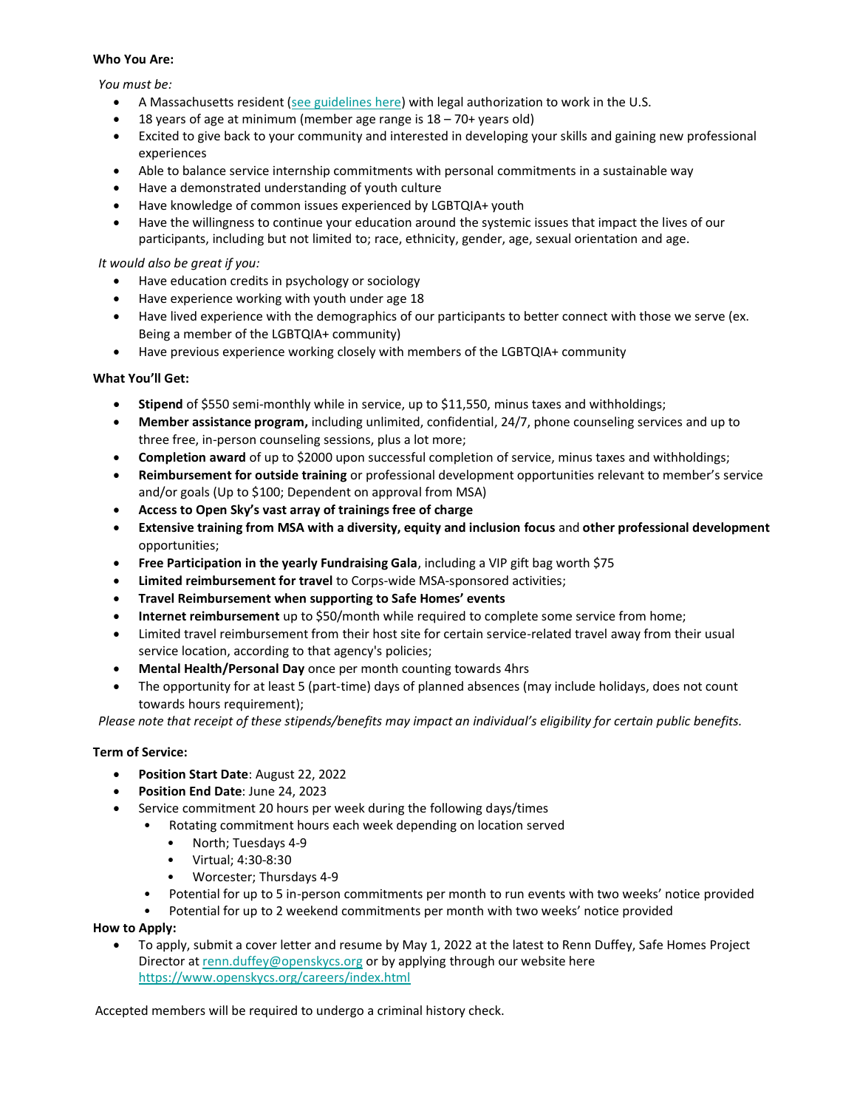#### **Who You Are:**

*You must be:*

- A Massachusetts resident [\(see guidelines here\)](http://mass-service.org/sites/default/files/Massachusetts%20Residency%20Requirements_0_0.pdf) with legal authorization to work in the U.S.
- 18 years of age at minimum (member age range is  $18 70+$  years old)
- Excited to give back to your community and interested in developing your skills and gaining new professional experiences
- Able to balance service internship commitments with personal commitments in a sustainable way
- Have a demonstrated understanding of youth culture
- Have knowledge of common issues experienced by LGBTQIA+ youth
- Have the willingness to continue your education around the systemic issues that impact the lives of our participants, including but not limited to; race, ethnicity, gender, age, sexual orientation and age.

## *It would also be great if you:*

- Have education credits in psychology or sociology
- Have experience working with youth under age 18
- Have lived experience with the demographics of our participants to better connect with those we serve (ex. Being a member of the LGBTQIA+ community)
- Have previous experience working closely with members of the LGBTQIA+ community

## **What You'll Get:**

- **Stipend** of \$550 semi-monthly while in service, up to \$11,550, minus taxes and withholdings;
- **Member assistance program,** including unlimited, confidential, 24/7, phone counseling services and up to three free, in-person counseling sessions, plus a lot more;
- **Completion award** of up to \$2000 upon successful completion of service, minus taxes and withholdings;
- **Reimbursement for outside training** or professional development opportunities relevant to member's service and/or goals (Up to \$100; Dependent on approval from MSA)
- **Access to Open Sky's vast array of trainings free of charge**
- **Extensive training from MSA with a diversity, equity and inclusion focus** and **other professional development** opportunities;
- **Free Participation in the yearly Fundraising Gala**, including a VIP gift bag worth \$75
- **Limited reimbursement for travel** to Corps-wide MSA-sponsored activities;
- **Travel Reimbursement when supporting to Safe Homes' events**
- **Internet reimbursement** up to \$50/month while required to complete some service from home;
- Limited travel reimbursement from their host site for certain service-related travel away from their usual service location, according to that agency's policies;
- **Mental Health/Personal Day** once per month counting towards 4hrs
- The opportunity for at least 5 (part-time) days of planned absences (may include holidays, does not count towards hours requirement);

*Please note that receipt of these stipends/benefits may impact an individual's eligibility for certain public benefits.*

## **Term of Service:**

- **Position Start Date**: August 22, 2022
- **Position End Date**: June 24, 2023
- Service commitment 20 hours per week during the following days/times
	- Rotating commitment hours each week depending on location served
		- North; Tuesdays 4-9
		- Virtual; 4:30-8:30
		- Worcester; Thursdays 4-9
	- Potential for up to 5 in-person commitments per month to run events with two weeks' notice provided
	- Potential for up to 2 weekend commitments per month with two weeks' notice provided

**How to Apply:**

• To apply, submit a cover letter and resume by May 1, 2022 at the latest to Renn Duffey, Safe Homes Project Director at [renn.duffey@openskycs.org](mailto:renn.duffey@openskycs.org) or by applying through our website here <https://www.openskycs.org/careers/index.html>

Accepted members will be required to undergo a criminal history check.